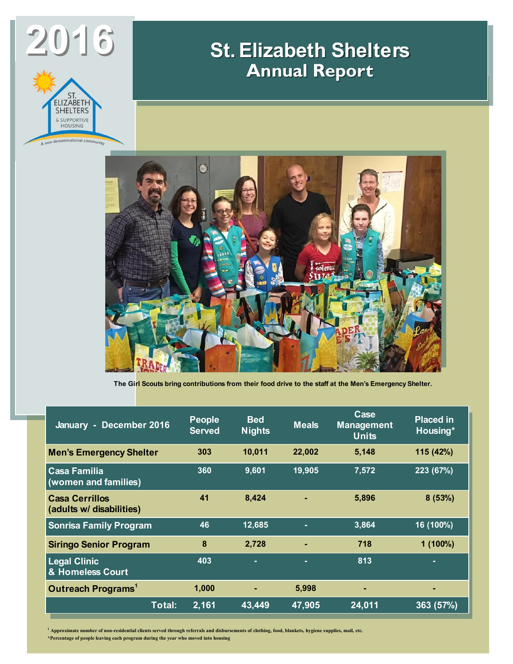

## **St. Elizabeth Shelters Annual Report**



**The Girl Scouts bring contributions from their food drive to the staff at the Men's Emergency Shelter.**

| January - December 2016                           | <b>People</b><br><b>Served</b> | <b>Bed</b><br><b>Nights</b> | <b>Meals</b> | Case<br><b>Management</b><br><b>Units</b> | <b>Placed in</b><br>Housing* |
|---------------------------------------------------|--------------------------------|-----------------------------|--------------|-------------------------------------------|------------------------------|
| <b>Men's Emergency Shelter</b>                    | 303                            | 10,011                      | 22,002       | 5,148                                     | 115 (42%)                    |
| <b>Casa Familia</b><br>(women and families)       | 360                            | 9,601                       | 19,905       | 7,572                                     | 223 (67%)                    |
| <b>Casa Cerrillos</b><br>(adults w/ disabilities) | 41                             | 8,424                       |              | 5,896                                     | 8(53%)                       |
| <b>Sonrisa Family Program</b>                     | 46                             | 12,685                      | ٠            | 3,864                                     | 16 (100%)                    |
| <b>Siringo Senior Program</b>                     | 8                              | 2,728                       |              | 718                                       | $1(100\%)$                   |
| <b>Legal Clinic</b><br>& Homeless Court           | 403                            | ٠                           | ٠            | 813                                       | ٠                            |
| Outreach Programs <sup>1</sup>                    | 1,000                          | ۰                           | 5,998        | $\blacksquare$                            | ٠                            |
| Total:                                            | 2,161                          | 43,449                      | 47,905       | 24,011                                    | 363 (57%)                    |

**<sup>1</sup> Approximate number of non-residential clients served through referrals and disbursements of clothing, food, blankets, hygiene supplies, mail, etc.**

**\*Percentage of people leaving each program during the year who moved into housing**